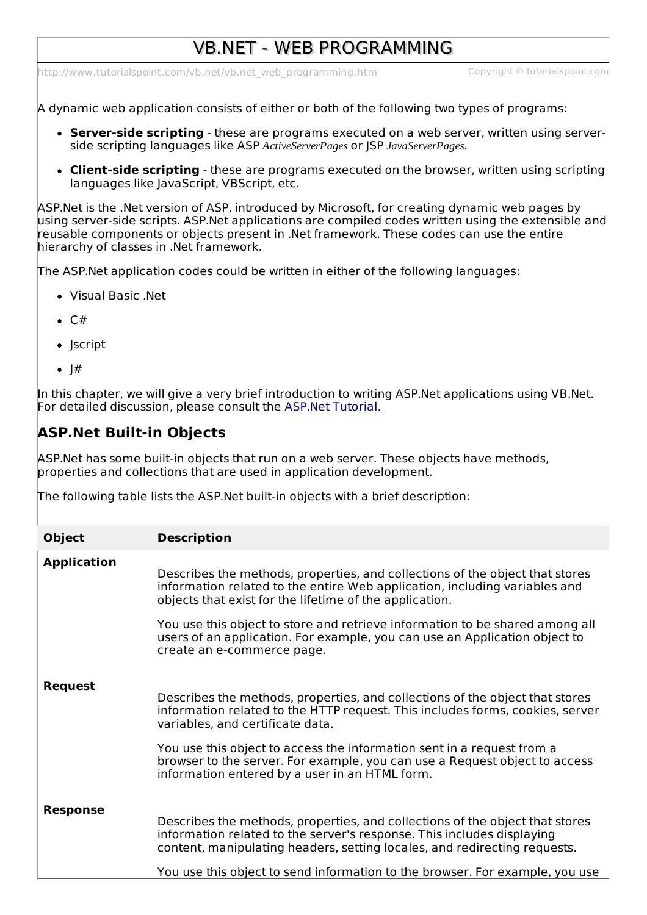# VB.NET - WEB PROGRAMMING

[http://www.tutorialspoint.com/vb.net/vb.net\\_web\\_programming.htm](http://www.tutorialspoint.com/vb.net/vb.net_web_programming.htm) Copyright © tutorialspoint.com

A dynamic web application consists of either or both of the following two types of programs:

- **Server-side scripting** these are programs executed on a web server, written using serverside scripting languages like ASP *ActiveServerPages* or JSP *JavaServerPages*.
- **Client-side scripting** these are programs executed on the browser, written using scripting languages like JavaScript, VBScript, etc.

ASP.Net is the .Net version of ASP, introduced by Microsoft, for creating dynamic web pages by using server-side scripts. ASP.Net applications are compiled codes written using the extensible and reusable components or objects present in .Net framework. These codes can use the entire hierarchy of classes in .Net framework.

The ASP.Net application codes could be written in either of the following languages:

- Visual Basic .Net
- $\bullet$  C#
- Iscript
- $\bullet$  |#

In this chapter, we will give a very brief introduction to writing ASP.Net applications using VB.Net. For detailed discussion, please consult the ASP.Net [Tutorial.](/asp.net/index.htm)

## **ASP.Net Built-in Objects**

ASP.Net has some built-in objects that run on a web server. These objects have methods, properties and collections that are used in application development.

The following table lists the ASP.Net built-in objects with a brief description:

| <b>Object</b>      | <b>Description</b>                                                                                                                                                                                                                                                                                                                                                                                          |
|--------------------|-------------------------------------------------------------------------------------------------------------------------------------------------------------------------------------------------------------------------------------------------------------------------------------------------------------------------------------------------------------------------------------------------------------|
| <b>Application</b> | Describes the methods, properties, and collections of the object that stores<br>information related to the entire Web application, including variables and<br>objects that exist for the lifetime of the application.                                                                                                                                                                                       |
|                    | You use this object to store and retrieve information to be shared among all<br>users of an application. For example, you can use an Application object to<br>create an e-commerce page.                                                                                                                                                                                                                    |
| <b>Request</b>     | Describes the methods, properties, and collections of the object that stores<br>information related to the HTTP request. This includes forms, cookies, server<br>variables, and certificate data.<br>You use this object to access the information sent in a request from a<br>browser to the server. For example, you can use a Request object to access<br>information entered by a user in an HTML form. |
| <b>Response</b>    | Describes the methods, properties, and collections of the object that stores<br>information related to the server's response. This includes displaying<br>content, manipulating headers, setting locales, and redirecting requests.<br>You use this object to send information to the browser. For example, you use                                                                                         |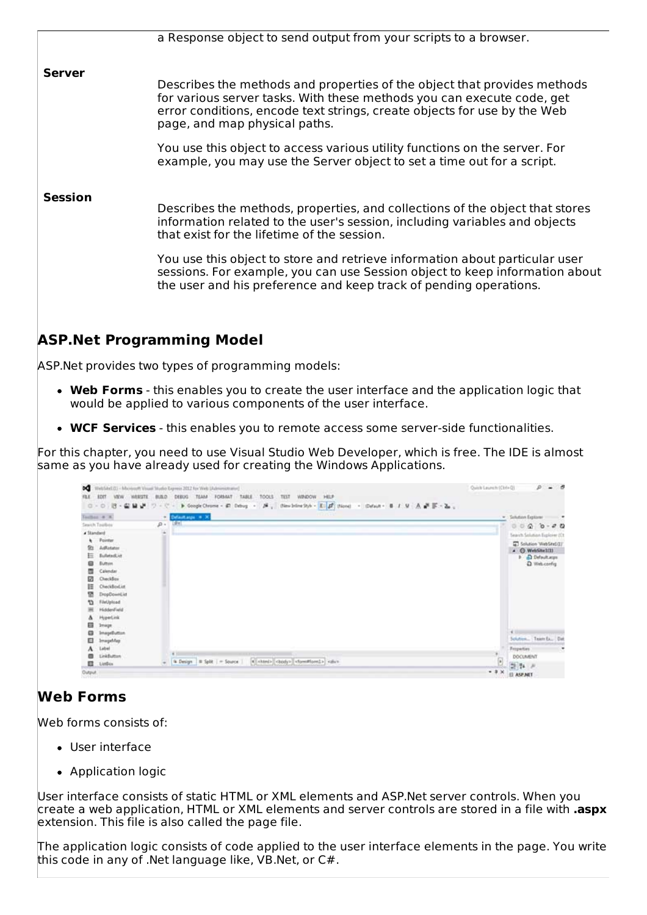| a Response object to send output from your scripts to a browser.                                                                                                                                                                                                                                                                                                                                                                             |
|----------------------------------------------------------------------------------------------------------------------------------------------------------------------------------------------------------------------------------------------------------------------------------------------------------------------------------------------------------------------------------------------------------------------------------------------|
| Describes the methods and properties of the object that provides methods<br>for various server tasks. With these methods you can execute code, get<br>error conditions, encode text strings, create objects for use by the Web<br>page, and map physical paths.                                                                                                                                                                              |
| You use this object to access various utility functions on the server. For<br>example, you may use the Server object to set a time out for a script.                                                                                                                                                                                                                                                                                         |
| Describes the methods, properties, and collections of the object that stores<br>information related to the user's session, including variables and objects<br>that exist for the lifetime of the session.<br>You use this object to store and retrieve information about particular user<br>sessions. For example, you can use Session object to keep information about<br>the user and his preference and keep track of pending operations. |
|                                                                                                                                                                                                                                                                                                                                                                                                                                              |

## **ASP.Net Programming Model**

ASP.Net provides two types of programming models:

- **Web Forms** this enables you to create the user interface and the application logic that would be applied to various components of the user interface.
- **WCF Services** this enables you to remote access some server-side functionalities.

For this chapter, you need to use Visual Studio Web Developer, which is free. The IDE is almost same as you have already used for creating the Windows Applications.



## **Web Forms**

Web forms consists of:

- User interface
- Application logic

User interface consists of static HTML or XML elements and ASP.Net server controls. When you create a web application, HTML or XML elements and server controls are stored in a file with **.aspx** extension. This file is also called the page file.

The application logic consists of code applied to the user interface elements in the page. You write this code in any of .Net language like, VB.Net, or C#.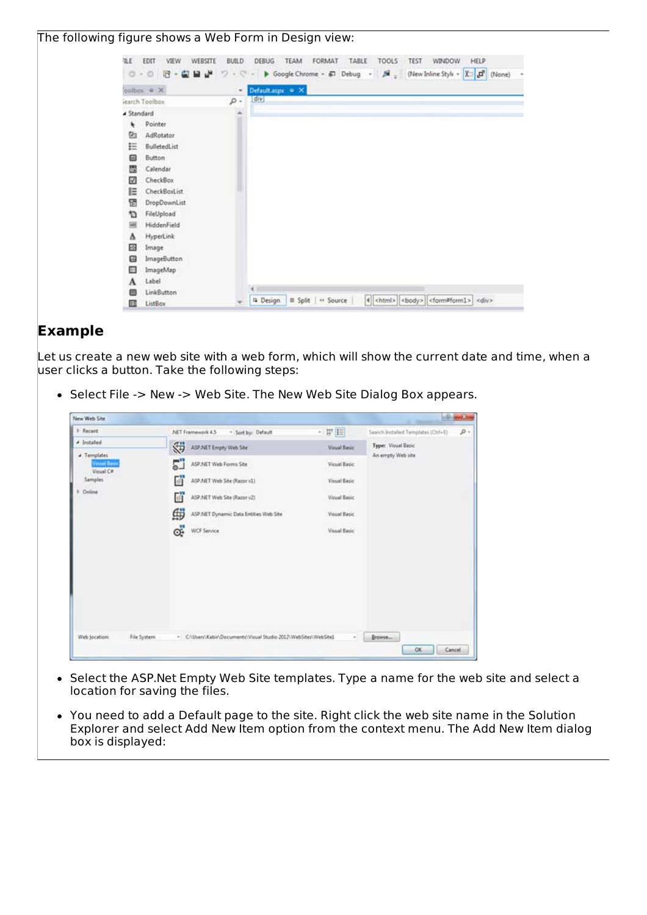#### The following figure shows a Web Form in Design view:



## **Example**

Let us create a new web site with a web form, which will show the current date and time, when a user clicks a button. Take the following steps:

• Select File -> New -> Web Site. The New Web Site Dialog Box appears.



- Select the ASP.Net Empty Web Site templates. Type a name for the web site and select a  $\bullet$ location for saving the files.
- You need to add a Default page to the site. Right click the web site name in the Solution Explorer and select Add New Item option from the context menu. The Add New Item dialog box is displayed: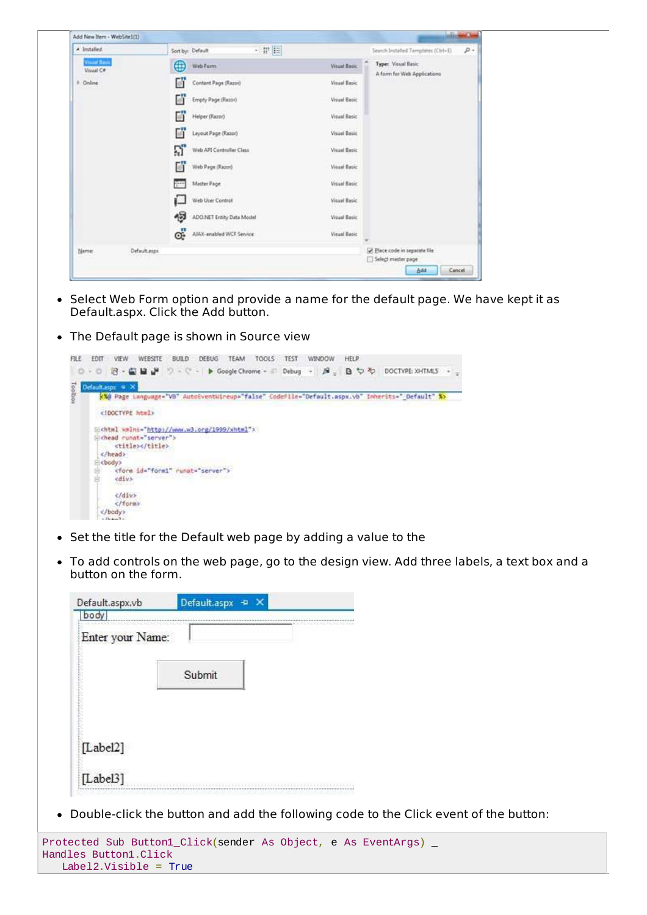| Add New Item - WebSite1(1)       |              |                                |       |                     | <b>LaBin</b>                                      | a Ch   |
|----------------------------------|--------------|--------------------------------|-------|---------------------|---------------------------------------------------|--------|
| 4 butslied                       |              | Sort by: Default               | ・ 罪 臣 |                     | Search Installed Temptates (Ctrl+E)               | р.     |
| <b>Visual Basic</b><br>Visual C# |              | ⊕<br>Web Form                  |       | <b>Vitual Basic</b> | Type: Visual Basic<br>A form for Web Applications |        |
| Online                           |              | 蘭<br>Content Page (Razor)      |       | Visual Basic        |                                                   |        |
|                                  |              | Й<br>Empty Page (Razor)        |       | Visual Basic        |                                                   |        |
|                                  |              | М<br>Helper (Razor)            |       | <b>Visual Basic</b> |                                                   |        |
|                                  |              | Гň<br>Leyout Page (Razor)      |       | Visual Basic        |                                                   |        |
|                                  |              | ឆ<br>Web API Controller Class  |       | <b>Visual Basic</b> |                                                   |        |
|                                  |              | М<br>Web Page (Razor)          |       | Visual Basic        |                                                   |        |
|                                  |              | Master Page<br>ferr.           |       | Visual Basic        |                                                   |        |
|                                  |              | Web User Control               |       | Visual Basic        |                                                   |        |
|                                  |              | ન<br>ADO.NET Entity Data Model |       | Visual Basic        |                                                   |        |
|                                  |              | œ.<br>AIAX-enabled WCF Service |       | <b>Visual Basic</b> |                                                   |        |
| Name:                            | Default.aspx |                                |       |                     | Place code in separate file<br>Select master page |        |
|                                  |              |                                |       |                     | Add                                               | Cancel |

- Select Web Form option and provide a name for the default page. We have kept it as Default.aspx. Click the Add button.
- The Default page is shown in Source view



- Set the title for the Default web page by adding a value to the
- To add controls on the web page, go to the design view. Add three labels, a text box and a button on the form.

| Default.aspx.vb          | Default.aspx +<br>∴× |
|--------------------------|----------------------|
| body<br>Enter your Name: |                      |
|                          | Submit               |
| [Label2]                 |                      |
| [ $Label3$ ]             |                      |

Double-click the button and add the following code to the Click event of the button:

```
Protected Sub Button1_Click(sender As Object, e As EventArgs) _
Handles Button1.Click
   Label2.Visible = True
```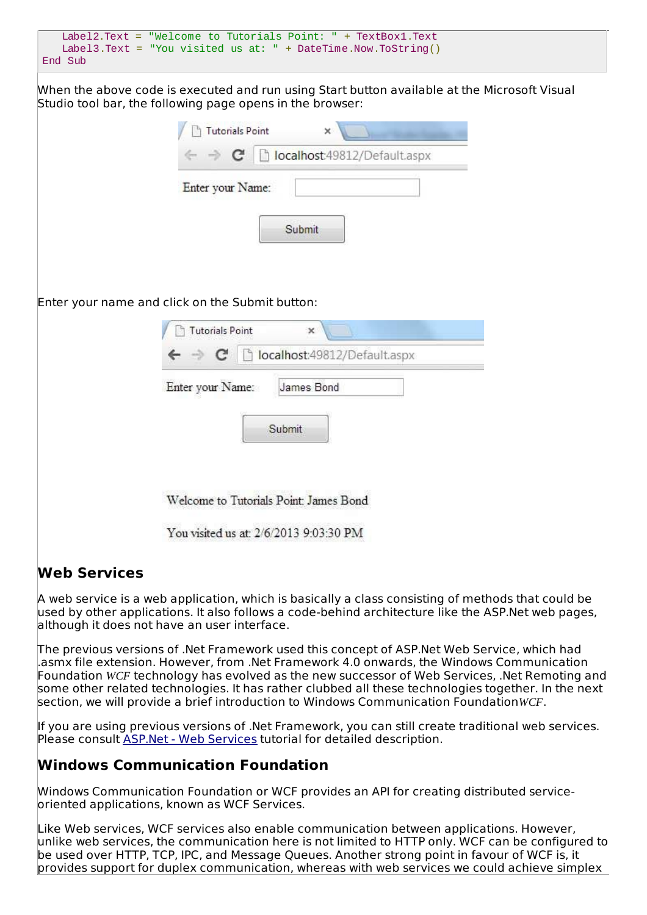|         |  | Label2.Text = "Welcome to Tutorials Point: " + TextBox1.Text  |
|---------|--|---------------------------------------------------------------|
|         |  | Label3.Text = "You visited us at: " + DateTime.Now.ToString() |
| End Sub |  |                                                               |

When the above code is executed and run using Start button available at the Microsoft Visual Studio tool bar, the following page opens in the browser:

| <b>Tutorials Point</b><br>$\times$              |  |
|-------------------------------------------------|--|
| ← → C   bcalhost:49812/Default.aspx             |  |
| Enter your Name:                                |  |
| Submit                                          |  |
| Enter your name and click on the Submit button: |  |
| <b>Tutorials Point</b><br>×                     |  |
| $\Rightarrow$ C   biocalhost:49812/Default.aspx |  |
| Enter your Name:<br>James Bond<br>Submit        |  |
|                                                 |  |

## **Web Services**

A web service is a web application, which is basically a class consisting of methods that could be used by other applications. It also follows a code-behind architecture like the ASP.Net web pages, although it does not have an user interface.

The previous versions of .Net Framework used this concept of ASP.Net Web Service, which had .asmx file extension. However, from .Net Framework 4.0 onwards, the Windows Communication Foundation *WCF* technology has evolved as the new successor of Web Services, .Net Remoting and some other related technologies. It has rather clubbed all these technologies together. In the next section, we will provide a brief introduction to Windows Communication Foundation*WCF*.

If you are using previous versions of .Net Framework, you can still create traditional web services. Please consult ASP.Net - Web [Services](/asp.net/asp.net_web_services.htm) tutorial for detailed description.

## **Windows Communication Foundation**

Windows Communication Foundation or WCF provides an API for creating distributed serviceoriented applications, known as WCF Services.

Like Web services, WCF services also enable communication between applications. However, unlike web services, the communication here is not limited to HTTP only. WCF can be configured to be used over HTTP, TCP, IPC, and Message Queues. Another strong point in favour of WCF is, it provides support for duplex communication, whereas with web services we could achieve simplex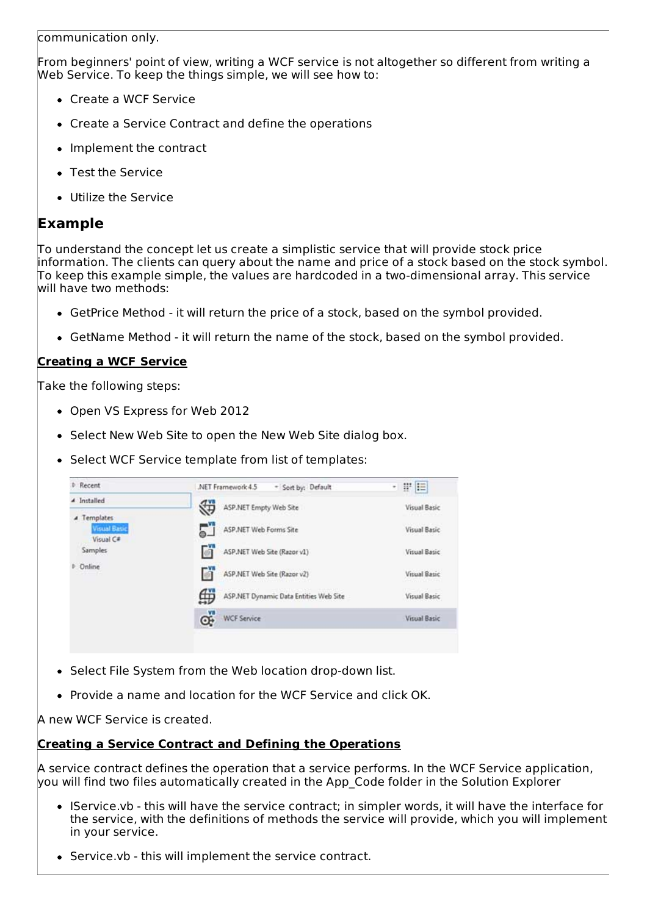communication only.

From beginners' point of view, writing a WCF service is not altogether so different from writing a Web Service. To keep the things simple, we will see how to:

- Create a WCF Service
- Create a Service Contract and define the operations
- Implement the contract
- Test the Service
- Utilize the Service

#### **Example**

To understand the concept let us create a simplistic service that will provide stock price information. The clients can query about the name and price of a stock based on the stock symbol. To keep this example simple, the values are hardcoded in a two-dimensional array. This service will have two methods:

- GetPrice Method it will return the price of a stock, based on the symbol provided.
- GetName Method it will return the name of the stock, based on the symbol provided.

#### **Creating a WCF Service**

Take the following steps:

- Open VS Express for Web 2012
- Select New Web Site to open the New Web Site dialog box.
- Select WCF Service template from list of templates:

| Recent                                                 | .NET Framework 4.5<br>* Sort by: Default    | 平日<br>$\mathbf{r}$ |
|--------------------------------------------------------|---------------------------------------------|--------------------|
| 4 Installed                                            | ASP.NET Empty Web Site                      | Visual Basic       |
| <i>A</i> Templates<br><b>Visual Basic</b><br>Visual C# | ASP.NET Web Forms Site                      | Visual Basic       |
| Samples                                                | ASP.NET Web Site (Razor v1)                 | Visual Basic       |
| <b>D</b> Online                                        | ASP.NET Web Site (Razor v2)                 | Visual Basic       |
|                                                        | ⊕<br>ASP.NET Dynamic Data Entities Web Site | Visual Basic       |
|                                                        | œÏ<br><b>WCF Service</b>                    | Visual Basic       |

- Select File System from the Web location drop-down list.
- Provide a name and location for the WCF Service and click OK.

A new WCF Service is created.

#### **Creating a Service Contract and Defining the Operations**

A service contract defines the operation that a service performs. In the WCF Service application, you will find two files automatically created in the App\_Code folder in the Solution Explorer

- IService.vb this will have the service contract; in simpler words, it will have the interface for the service, with the definitions of methods the service will provide, which you will implement in your service.
- Service.vb this will implement the service contract.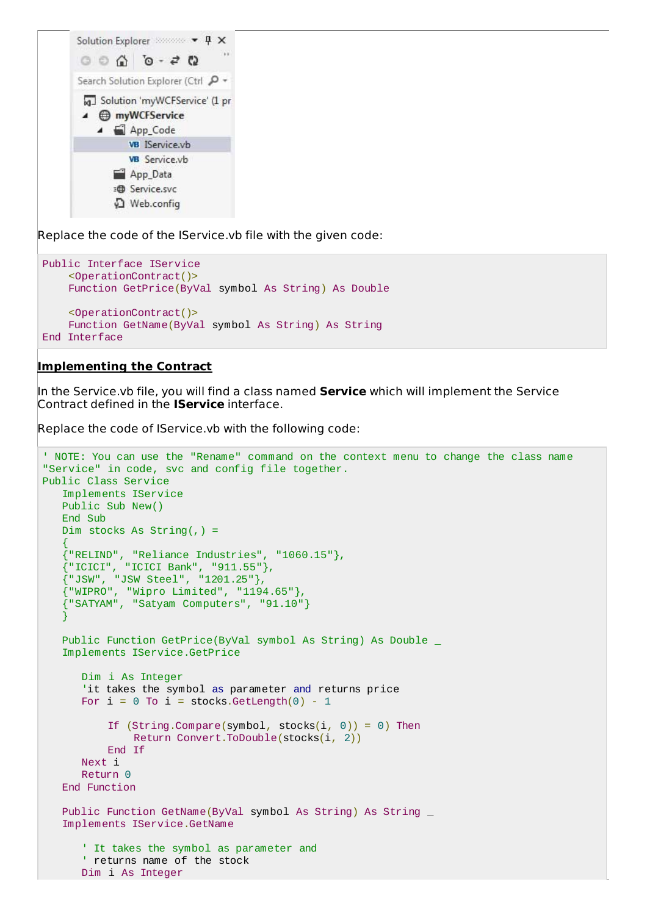

Replace the code of the IService.vb file with the given code:

```
Public Interface IService
    <OperationContract()>
    Function GetPrice(ByVal symbol As String) As Double
    <OperationContract()>
    Function GetName(ByVal symbol As String) As String
End Interface
```
#### **Implementing the Contract**

In the Service.vb file, you will find a class named **Service** which will implement the Service Contract defined in the **IService** interface.

Replace the code of IService.vb with the following code:

```
' NOTE: You can use the "Rename" command on the context menu to change the class name
"Service" in code, svc and config file together.
Public Class Service
   Implements IService
   Public Sub New()
   End Sub
   Dim stocks As String(,) =
   {
   {"RELIND", "Reliance Industries", "1060.15"},
   {"ICICI", "ICICI Bank", "911.55"},
   {"JSW", "JSW Steel", "1201.25"},
   {"WIPRO", "Wipro Limited", "1194.65"},
   {"SATYAM", "Satyam Computers", "91.10"}
   }
   Public Function GetPrice(ByVal symbol As String) As Double _
   Implements IService.GetPrice
      Dim i As Integer
      'it takes the symbol as parameter and returns price
      For i = 0 To i = stocks.GetLength(0) - 1
          If (String.Compare(symbol, stocks(i, 0)) = 0) Then
              Return Convert.ToDouble(stocks(i, 2))
          End If
      Next i
      Return 0
   End Function
   Public Function GetName(ByVal symbol As String) As String _
   Implements IService.GetName
      ' It takes the symbol as parameter and
      ' returns name of the stock
      Dim i As Integer
```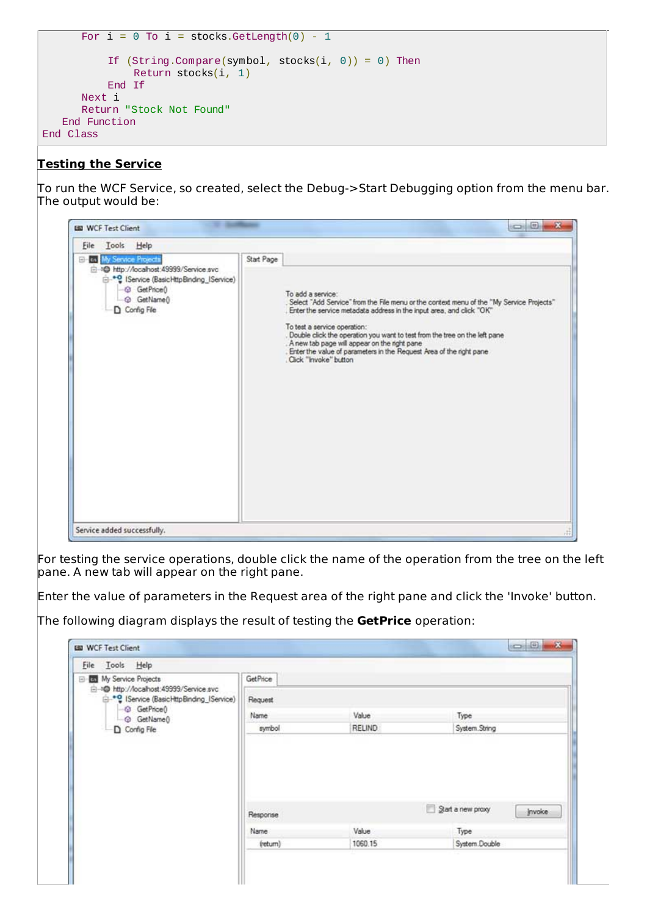```
For i = 0 To i = stocks.GetLength(0) - 1
          If (String.Compare(symbol, stock(i, 0)) = 0) Then
              Return stocks(i, 1)
          End If
      Next i
      Return "Stock Not Found"
   End Function
End Class
```
#### **Testing the Service**

To run the WCF Service, so created, select the Debug->Start Debugging option from the menu bar. The output would be:



For testing the service operations, double click the name of the operation from the tree on the left pane. A new tab will appear on the right pane.

Enter the value of parameters in the Request area of the right pane and click the 'Invoke' button.

The following diagram displays the result of testing the **GetPrice** operation:

| File Tools Help                                                                                                                                       |          |               |                             |  |
|-------------------------------------------------------------------------------------------------------------------------------------------------------|----------|---------------|-----------------------------|--|
| My Service Projects<br>□ 10 http://localhost:49999/Service.svc<br><sup>e-0</sup> IService (BasicHttpBinding_IService)<br>-© GetPrice()<br>+ GetName() | GetPrice |               |                             |  |
|                                                                                                                                                       | Request  |               |                             |  |
|                                                                                                                                                       | Name     | Value         | Type                        |  |
| D Config File                                                                                                                                         | symbol   | <b>RELIND</b> | System.String               |  |
|                                                                                                                                                       |          |               |                             |  |
|                                                                                                                                                       | Response |               | Start a new proxy<br>invoke |  |
|                                                                                                                                                       | Name     | Value         | Type                        |  |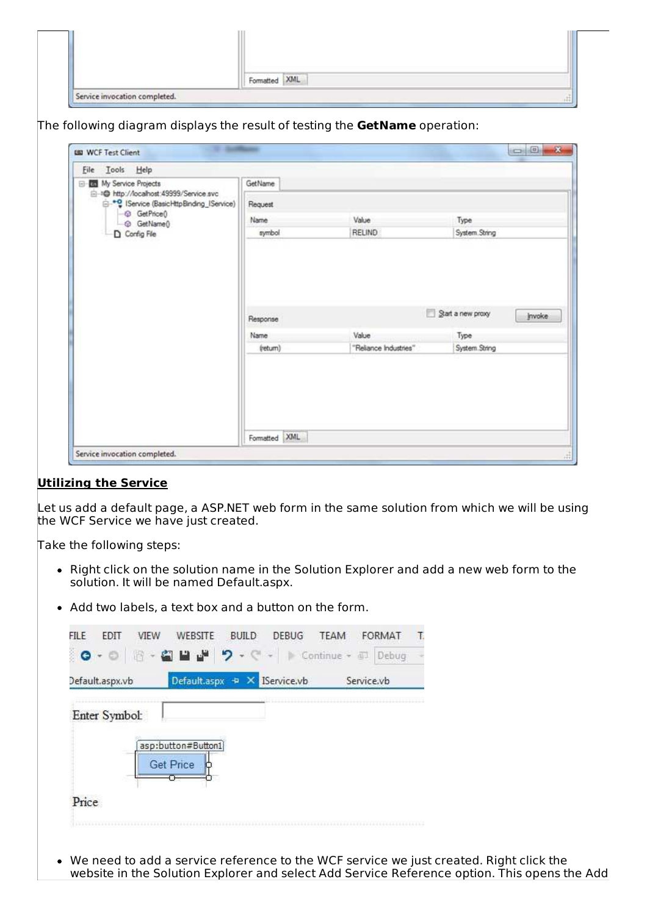|                               | Formatted XML |    |
|-------------------------------|---------------|----|
| Service invocation completed. |               | A1 |

The following diagram displays the result of testing the **GetName** operation:

| File Tools Help                                                                                                                                                          |          |                       |                                    |
|--------------------------------------------------------------------------------------------------------------------------------------------------------------------------|----------|-----------------------|------------------------------------|
| El-Ell My Service Projects<br>= 10 http://localhost.49999/Service.svc<br><sup>e</sup> Service (BasicHttpBinding_IService)<br><b>GetPrice</b> <sup>0</sup><br>© GetName() | GetName  |                       |                                    |
|                                                                                                                                                                          | Request  |                       |                                    |
|                                                                                                                                                                          | Name     | Value                 | Type                               |
| Config File                                                                                                                                                              | symbol   | <b>RELIND</b>         | System.String                      |
|                                                                                                                                                                          |          |                       |                                    |
|                                                                                                                                                                          | Response |                       | Start a new proxy<br><b>Invoke</b> |
|                                                                                                                                                                          | Name     | Value                 | Type                               |
|                                                                                                                                                                          | (return) | "Reliance Industries" | System.String                      |
|                                                                                                                                                                          |          |                       |                                    |

#### **Utilizing the Service**

Let us add a default page, a ASP.NET web form in the same solution from which we will be using the WCF Service we have just created.

Take the following steps:

- Right click on the solution name in the Solution Explorer and add a new web form to the solution. It will be named Default.aspx.
- Add two labels, a text box and a button on the form.

We need to add a service reference to the WCF service we just created. Right click the website in the Solution Explorer and select Add Service Reference option. This opens the Add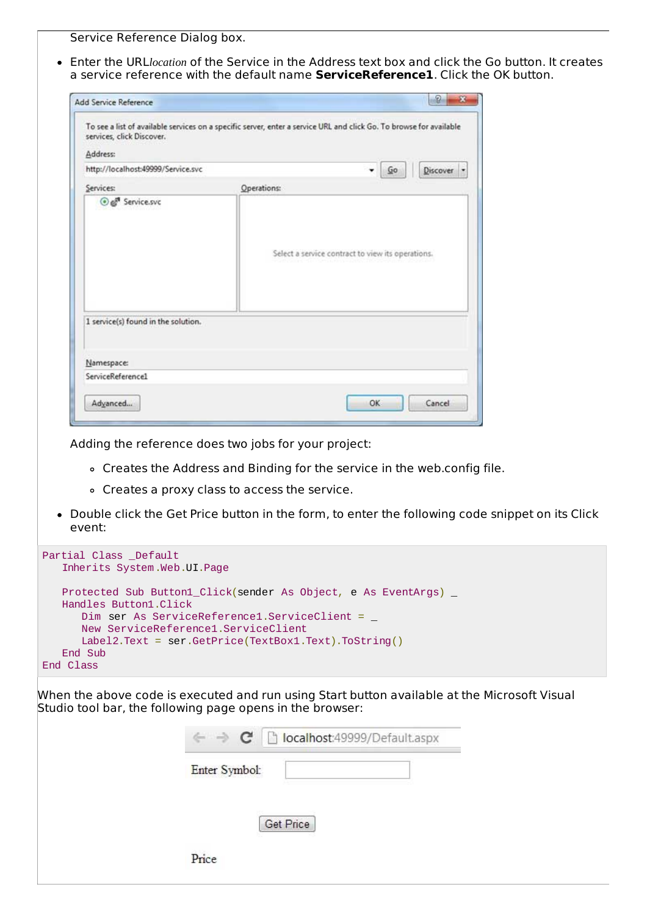Service Reference Dialog box.

Enter the URL*location* of the Service in the Address text box and click the Go button. It creates a service reference with the default name **ServiceReference1**. Click the OK button.

| Address:                            |                                                   |
|-------------------------------------|---------------------------------------------------|
| http://localhost:49999/Service.svc  | Go<br>Discover -                                  |
| Services:                           | Operations:                                       |
|                                     | Select a service contract to view its operations. |
| 1 service(s) found in the solution. |                                                   |
| Namespace:                          |                                                   |

Adding the reference does two jobs for your project:

- Creates the Address and Binding for the service in the web.config file.
- Creates a proxy class to access the service.
- Double click the Get Price button in the form, to enter the following code snippet on its Click event:

| Partial Class _Default                                                |
|-----------------------------------------------------------------------|
| Inherits System.Web.UI.Page                                           |
|                                                                       |
| Protected Sub Button1_Click(sender As Object, e As EventArgs) _       |
| Handles Button1.Click                                                 |
| Dim ser As ServiceReference1.ServiceClient = $\overline{\phantom{a}}$ |
| New ServiceReference1.ServiceClient                                   |
| $Label2. Text = ser.GetPrice(TextBox1.Text). ToString()$              |
| End Sub                                                               |
| End Class                                                             |
|                                                                       |

When the above code is executed and run using Start button available at the Microsoft Visual Studio tool bar, the following page opens in the browser:

| ← → C   bcalhost:49999/Default.aspx |
|-------------------------------------|
| Enter Symbol:                       |
|                                     |
| <b>Get Price</b>                    |
| Price                               |